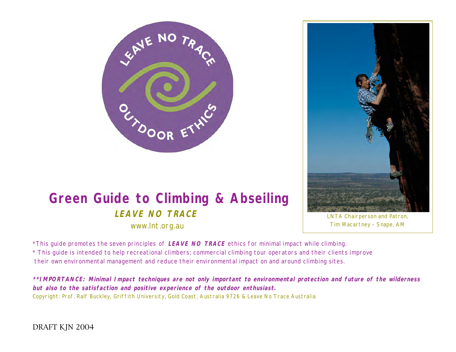

# **Green Guide to Climbing & Abseiling LEAVE NO TRACE** www.lnt.org.au



LNTA Chairperson and Patron, Tim Macartney – Snape, AM

\*This guide promotes the seven principles of **LEAVE NO TRACE** ethics for minimal impact while climbing. \* This guide is intended to help recreational climbers; commercial climbing tour operators and their clients improve their own environmental management and reduce their environmental impact on and around climbing sites.

\*\*IMPORTANCE: Minimal Impact techniques are not only important to environmental protection and future of the wilderness **but also to the satisfaction and positive experience of the outdoor enthusiast.** Copyright: Prof. Ralf Buckley, Griffith University, Gold Coast, Australia 9726 & Leave No Trace Australia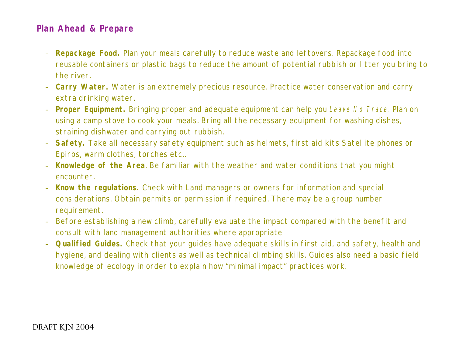# **Plan Ahead & Prepare**

- **Repackage Food.** Plan your meals carefully to reduce waste and leftovers. Repackage food into reusable containers or plastic bags to reduce the amount of potential rubbish or litter you bring to the river.
- **Carry Water.** Water is an extremely precious resource. Practice water conservation and carry extra drinking water.
- **Proper Equipment.** Bringing proper and adequate equipment can help you Leave No Trace. Plan on using a camp stove to cook your meals. Bring all the necessary equipment for washing dishes, straining dishwater and carrying out rubbish.
- **Safety.** Take all necessary safety equipment such as helmets, first aid kits Satellite phones or Epirbs, warm clothes, torches etc..
- **Knowledge of the Area**. Be familiar with the weather and water conditions that you might encounter.
- **Know the regulations.** Check with Land managers or owners for information and special considerations. Obtain permits or permission if required. There may be a group number requirement.
- Before establishing a new climb, carefully evaluate the impact compared with the benefit and consult with land management authorities where appropriate
- **Qualified Guides.** Check that your guides have adequate skills in first aid, and safety, health and hygiene, and dealing with clients as well as technical climbing skills. Guides also need a basic field knowledge of ecology in order to explain how "minimal impact" practices work.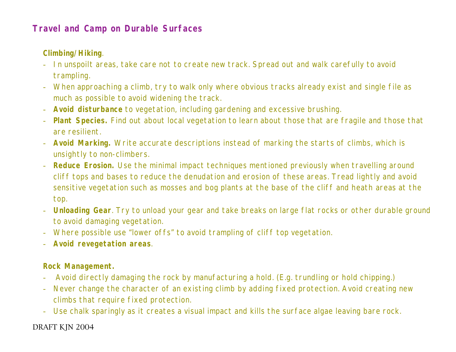## **Travel and Camp on Durable Surfaces**

**Climbing/Hiking**.

- In unspoilt areas, take care not to create new track. Spread out and walk carefully to avoid trampling.
- When approaching a climb, try to walk only where obvious tracks already exist and single file as much as possible to avoid widening the track.
- **Avoid disturbance** to vegetation, including gardening and excessive brushing.
- **Plant Species.** Find out about local vegetation to learn about those that are fragile and those that are resilient.
- **Avoid Marking.** Write accurate descriptions instead of marking the starts of climbs, which is unsightly to non-climbers.
- **Reduce Erosion.** Use the minimal impact techniques mentioned previously when travelling around cliff tops and bases to reduce the denudation and erosion of these areas. Tread lightly and avoid sensitive vegetation such as mosses and bog plants at the base of the cliff and heath areas at the top.
- **Unloading Gear**. Try to unload your gear and take breaks on large flat rocks or other durable ground to avoid damaging vegetation.
- Where possible use "lower offs" to avoid trampling of cliff top vegetation.
- **Avoid revegetation areas**.

**Rock Management.**

- Avoid directly damaging the rock by manufacturing a hold. (E.g. trundling or hold chipping.)
- Never change the character of an existing climb by adding fixed protection. Avoid creating new climbs that require fixed protection.
- Use chalk sparingly as it creates a visual impact and kills the surface algae leaving bare rock.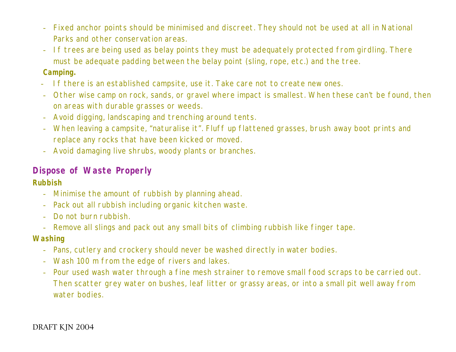- Fixed anchor points should be minimised and discreet. They should not be used at all in National Parks and other conservation areas.
- If trees are being used as belay points they must be adequately protected from girdling. There must be adequate padding between the belay point (sling, rope, etc.) and the tree.

#### **Camping.**

- If there is an established campsite, use it. Take care not to create new ones.
- Other wise camp on rock, sands, or gravel where impact is smallest. When these can't be found, then on areas with durable grasses or weeds.
- Avoid digging, landscaping and trenching around tents.
- When leaving a campsite, "naturalise it". Fluff up flattened grasses, brush away boot prints and replace any rocks that have been kicked or moved.
- Avoid damaging live shrubs, woody plants or branches.

# **Dispose of Waste Properly**

**Rubbish**

- Minimise the amount of rubbish by planning ahead.
- Pack out all rubbish including organic kitchen waste.
- Do not burn rubbish.
- Remove all slings and pack out any small bits of climbing rubbish like finger tape.

#### **Washing**

- Pans, cutlery and crockery should never be washed directly in water bodies.
- Wash 100 m from the edge of rivers and lakes.
- Pour used wash water through a fine mesh strainer to remove small food scraps to be carried out. Then scatter grey water on bushes, leaf litter or grassy areas, or into a small pit well away from water bodies.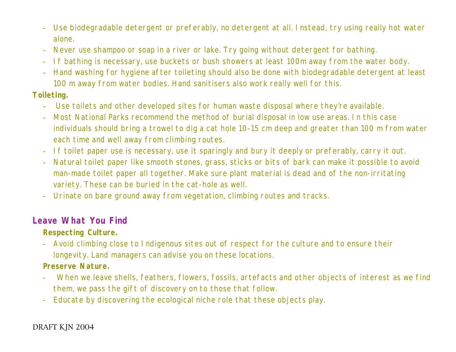- Use biodegradable detergent or preferably, no detergent at all. Instead, try using really hot water alone.
- Never use shampoo or soap in a river or lake. Try going without detergent for bathing.
- If bathing is necessary, use buckets or bush showers at least 100m away from the water body.
- Hand washing for hygiene after toileting should also be done with biodegradable detergent at least 100 m away from water bodies. Hand sanitisers also work really well for this.

#### **Toileting.**

- Use toilets and other developed sites for human waste disposal where they're available.
- Most National Parks recommend the method of burial disposal in low use areas. In this case individuals should bring a trowel to dig a cat hole 10–15 cm deep and greater than 100 m from water each time and well away from climbing routes.
- If toilet paper use is necessary, use it sparingly and bury it deeply or preferably, carry it out.
- Natural toilet paper like smooth stones, grass, sticks or bits of bark can make it possible to avoid man-made toilet paper all together. Make sure plant material is dead and of the non-irritating variety. These can be buried in the cat-hole as well.
- Urinate on bare ground away from vegetation, climbing routes and tracks.

## **Leave What You Find**

**Respecting Culture.**

- Avoid climbing close to Indigenous sites out of respect for the culture and to ensure their longevity. Land managers can advise you on these locations.

**Preserve Nature.**

- When we leave shells, feathers, flowers, fossils, artefacts and other objects of interest as we find them, we pass the gift of discovery on to those that follow.
- Educate by discovering the ecological niche role that these objects play.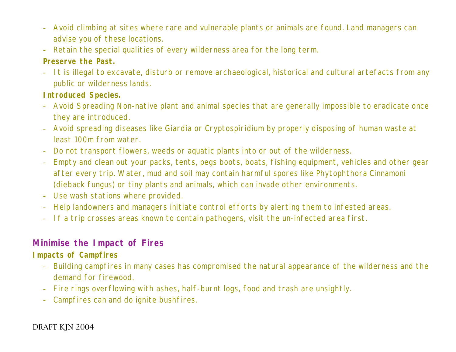- Avoid climbing at sites where rare and vulnerable plants or animals are found. Land managers can advise you of these locations.
- Retain the special qualities of every wilderness area for the long term.

**Preserve the Past.**

- It is illegal to excavate, disturb or remove archaeological, historical and cultural artefacts from any public or wilderness lands.

**Introduced Species.**

- Avoid Spreading Non-native plant and animal species that are generally impossible to eradicate once they are introduced.
- Avoid spreading diseases like Giardia or Cryptospiridium by properly disposing of human waste at least 100m from water.
- Do not transport flowers, weeds or aquatic plants into or out of the wilderness.
- Empty and clean out your packs, tents, pegs boots, boats, fishing equipment, vehicles and other gear after every trip. Water, mud and soil may contain harmful spores like Phytophthora Cinnamoni (dieback fungus) or tiny plants and animals, which can invade other environments.
- Use wash stations where provided.
- Help landowners and managers initiate control efforts by alerting them to infested areas.
- If a trip crosses areas known to contain pathogens, visit the un-infected area first.

#### **Minimise the Impact of Fires**

**Impacts of Campfires**

- Building campfires in many cases has compromised the natural appearance of the wilderness and the demand for firewood.
- Fire rings overflowing with ashes, half-burnt logs, food and trash are unsightly.
- Campfires can and do ignite bushfires.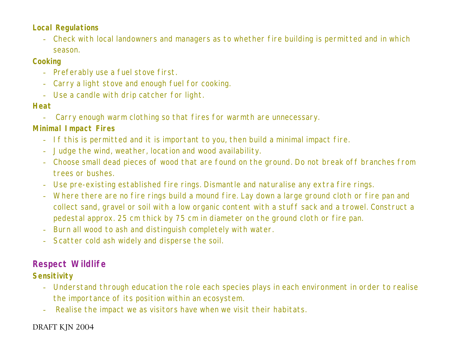**Local Regulations**

- Check with local landowners and managers as to whether fire building is permitted and in which season.

**Cooking**

- Preferably use a fuel stove first.
- Carry a light stove and enough fuel for cooking.
- Use a candle with drip catcher for light.

#### **Heat**

- Carry enough warm clothing so that fires for warmth are unnecessary.

**Minimal Impact Fires**

- If this is permitted and it is important to you, then build a minimal impact fire.
- Judge the wind, weather, location and wood availability.
- Choose small dead pieces of wood that are found on the ground. Do not break off branches from trees or bushes.
- Use pre-existing established fire rings. Dismantle and naturalise any extra fire rings.
- Where there are no fire rings build a mound fire. Lay down a large ground cloth or fire pan and collect sand, gravel or soil with a low organic content with a stuff sack and a trowel. Construct a pedestal approx. 25 cm thick by 75 cm in diameter on the ground cloth or fire pan.
- Burn all wood to ash and distinguish completely with water.
- Scatter cold ash widely and disperse the soil.

# **Respect Wildlife**

**Sensitivity**

- Understand through education the role each species plays in each environment in order to realise the importance of its position within an ecosystem.
- Realise the impact we as visitors have when we visit their habitats.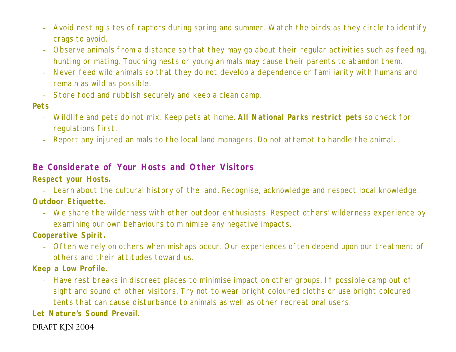- Avoid nesting sites of raptors during spring and summer. Watch the birds as they circle to identify crags to avoid.
- Observe animals from a distance so that they may go about their regular activities such as feeding, hunting or mating. Touching nests or young animals may cause their parents to abandon them.
- Never feed wild animals so that they do not develop a dependence or familiarity with humans and remain as wild as possible.
- Store food and rubbish securely and keep a clean camp.

**Pets**

- Wildlife and pets do not mix. Keep pets at home. **All National Parks restrict pets** so check for regulations first.
- Report any injured animals to the local land managers. Do not attempt to handle the animal.

### **Be Considerate of Your Hosts and Other Visitors**

**Respect your Hosts.**

- Learn about the cultural history of the land. Recognise, acknowledge and respect local knowledge. **Outdoor Etiquette.**

- We share the wilderness with other outdoor enthusiasts. Respect others' wilderness experience by examining our own behaviours to minimise any negative impacts.

**Cooperative Spirit.**

- Often we rely on others when mishaps occur. Our experiences often depend upon our treatment of others and their attitudes toward us.

**Keep a Low Profile.**

- Have rest breaks in discreet places to minimise impact on other groups. If possible camp out of sight and sound of other visitors. Try not to wear bright coloured cloths or use bright coloured tents that can cause disturbance to animals as well as other recreational users.

**Let Nature's Sound Prevail.**